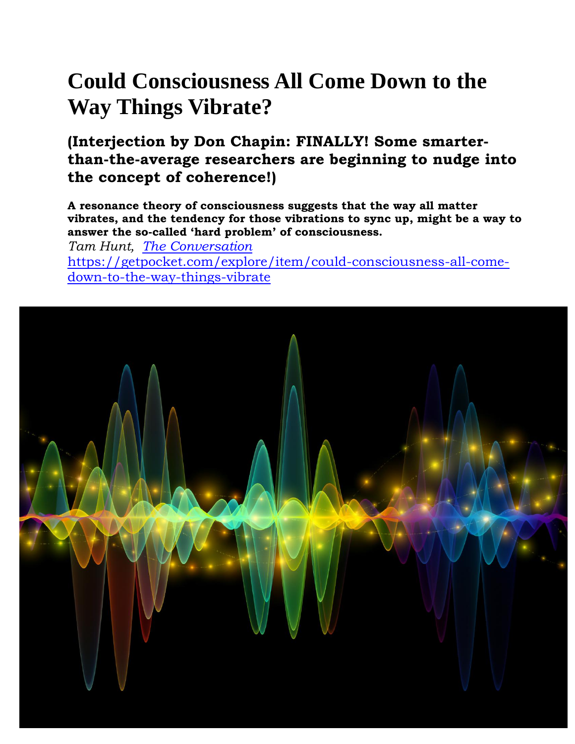# **Could Consciousness All Come Down to the Way Things Vibrate?**

**(Interjection by Don Chapin: FINALLY! Some smarterthan-the-average researchers are beginning to nudge into the concept of coherence!)**

**A resonance theory of consciousness suggests that the way all matter vibrates, and the tendency for those vibrations to sync up, might be a way to answer the so-called 'hard problem' of consciousness.**

*Tam Hunt, [The Conversation](https://theconversation.com/?utm_source=pocket)* [https://getpocket.com/explore/item/could-consciousness-all-come](https://getpocket.com/explore/item/could-consciousness-all-come-down-to-the-way-things-vibrate)[down-to-the-way-things-vibrate](https://getpocket.com/explore/item/could-consciousness-all-come-down-to-the-way-things-vibrate)

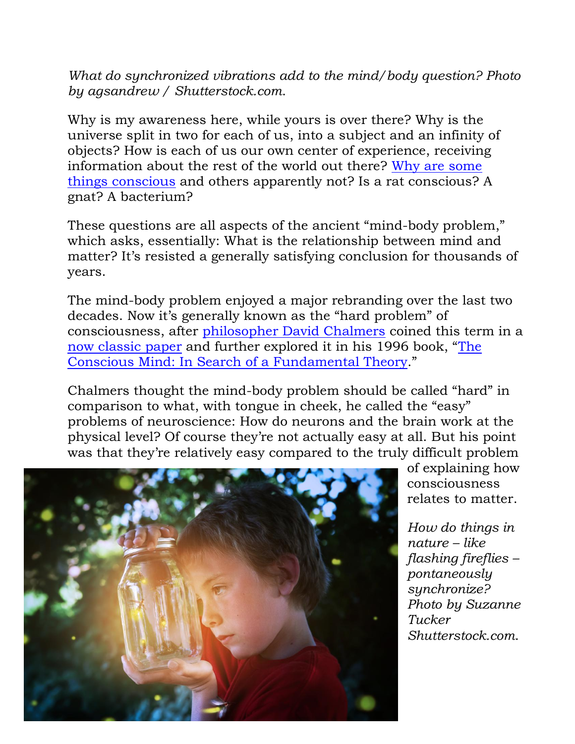*What do synchronized vibrations add to the mind/body question? Photo by agsandrew / Shutterstock.com*.

Why is my awareness here, while yours is over there? Why is the universe split in two for each of us, into a subject and an infinity of objects? How is each of us our own center of experience, receiving information about the rest of the world out there? [Why are some](https://theconversation.com/learning-experience-lets-take-consciousness-in-from-the-cold-6739)  [things conscious](https://theconversation.com/learning-experience-lets-take-consciousness-in-from-the-cold-6739) and others apparently not? Is a rat conscious? A gnat? A bacterium?

These questions are all aspects of the ancient "mind-body problem," which asks, essentially: What is the relationship between mind and matter? It's resisted a generally satisfying conclusion for thousands of years.

The mind-body problem enjoyed a major rebranding over the last two decades. Now it's generally known as the "hard problem" of consciousness, after [philosopher David Chalmers](https://scholar.google.com/citations?user=o8AfF3MAAAAJ&hl=en&oi=ao) coined this term in a [now classic paper](http://consc.net/papers/facing.html) and further explored it in his 1996 book, "[The](https://global.oup.com/academic/product/the-conscious-mind-9780195117899?q=The%20Conscious%20Mind:%20In%20Search%20of%20a%20Fundamental%20Theory&lang=en&cc=us)  [Conscious Mind: In Search of a Fundamental Theory](https://global.oup.com/academic/product/the-conscious-mind-9780195117899?q=The%20Conscious%20Mind:%20In%20Search%20of%20a%20Fundamental%20Theory&lang=en&cc=us)."

Chalmers thought the mind-body problem should be called "hard" in comparison to what, with tongue in cheek, he called the "easy" problems of neuroscience: How do neurons and the brain work at the physical level? Of course they're not actually easy at all. But his point was that they're relatively easy compared to the truly difficult problem



of explaining how consciousness relates to matter.

*How do things in nature – like flashing fireflies – pontaneously synchronize? Photo by Suzanne Tucker Shutterstock.com*.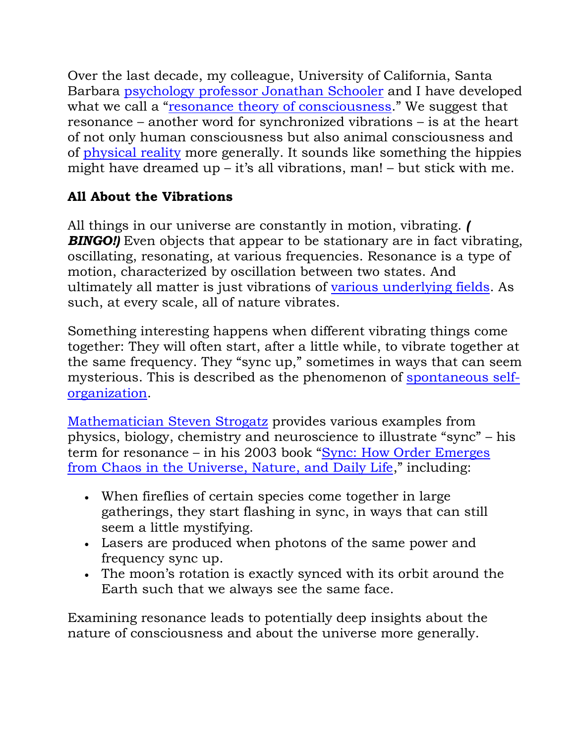Over the last decade, my colleague, University of California, Santa Barbara [psychology professor Jonathan Schooler](https://scholar.google.com/citations?user=3UEI9NIAAAAJ&hl=en&oi=ao) and I have developed what we call a "[resonance theory of consciousness](https://www.researchgate.net/profile/Tam_Hunt/publication/263491208_Kicking_the_Psychophysical_Laws_into_Gear_A_New_Approach_to_the_Combination_Problem/links/551d75d60cf2a2d9e13adffb.pdf)." We suggest that resonance – another word for synchronized vibrations – is at the heart of not only human consciousness but also animal consciousness and of [physical reality](https://labs.psych.ucsb.edu/schooler/jonathan/sites/labs.psych.ucsb.edu.schooler.jonathan/files/pubs/metaphysics-of-science__0.pdf) more generally. It sounds like something the hippies might have dreamed up – it's all vibrations, man! – but stick with me.

### **All About the Vibrations**

All things in our universe are constantly in motion, vibrating. *(*  **BINGO!**) Even objects that appear to be stationary are in fact vibrating, oscillating, resonating, at various frequencies. Resonance is a type of motion, characterized by oscillation between two states. And ultimately all matter is just vibrations of [various underlying fields.](https://www.symmetrymagazine.org/article/july-2013/real-talk-everything-is-made-of-fields) As such, at every scale, all of nature vibrates.

Something interesting happens when different vibrating things come together: They will often start, after a little while, to vibrate together at the same frequency. They "sync up," sometimes in ways that can seem mysterious. This is described as the phenomenon of [spontaneous self](https://en.wikipedia.org/wiki/Self-organization)[organization.](https://en.wikipedia.org/wiki/Self-organization)

[Mathematician Steven Strogatz](https://scholar.google.com/citations?user=FxyRWlcAAAAJ&hl=en&oi=ao) provides various examples from physics, biology, chemistry and neuroscience to illustrate "sync" – his term for resonance – in his 2003 book "[Sync: How Order Emerges](https://www.hachettebookgroup.com/titles/steven-h-strogatz/sync/9781401304461/)  [from Chaos in the Universe, Nature, and Daily Life](https://www.hachettebookgroup.com/titles/steven-h-strogatz/sync/9781401304461/)," including:

- When fireflies of certain species come together in large gatherings, they start flashing in sync, in ways that can still seem a little mystifying.
- Lasers are produced when photons of the same power and frequency sync up.
- The moon's rotation is exactly synced with its orbit around the Earth such that we always see the same face.

Examining resonance leads to potentially deep insights about the nature of consciousness and about the universe more generally.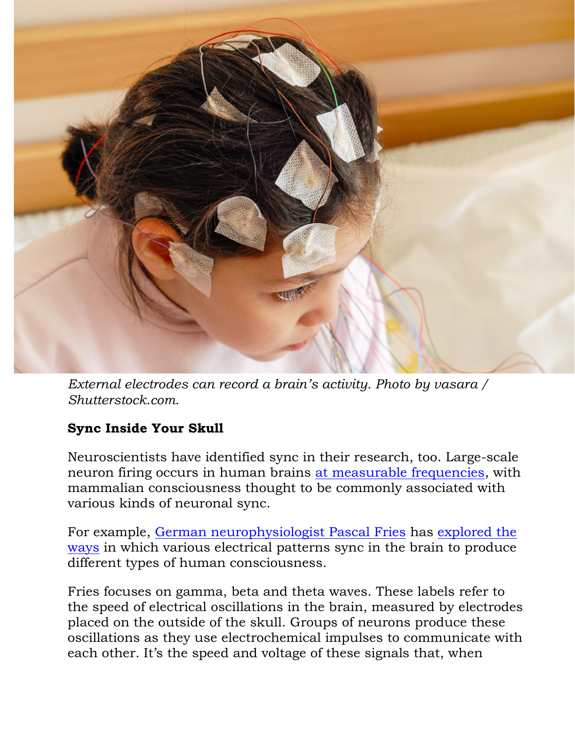

*External electrodes can record a brain's activity. Photo by vasara / Shutterstock.com*.

### **Sync Inside Your Skull**

Neuroscientists have identified sync in their research, too. Large-scale neuron firing occurs in human brains [at measurable frequencies,](https://en.wikipedia.org/wiki/Neural_oscillation) with mammalian consciousness thought to be commonly associated with various kinds of neuronal sync.

For example, [German neurophysiologist Pascal Fries](http://www.esi-frankfurt.de/research/fries-lab/) has [explored the](https://scholar.google.com/citations?user=d3U-6zUAAAAJ&hl=en)  [ways](https://scholar.google.com/citations?user=d3U-6zUAAAAJ&hl=en) in which various electrical patterns sync in the brain to produce different types of human consciousness.

Fries focuses on gamma, beta and theta waves. These labels refer to the speed of electrical oscillations in the brain, measured by electrodes placed on the outside of the skull. Groups of neurons produce these oscillations as they use electrochemical impulses to communicate with each other. It's the speed and voltage of these signals that, when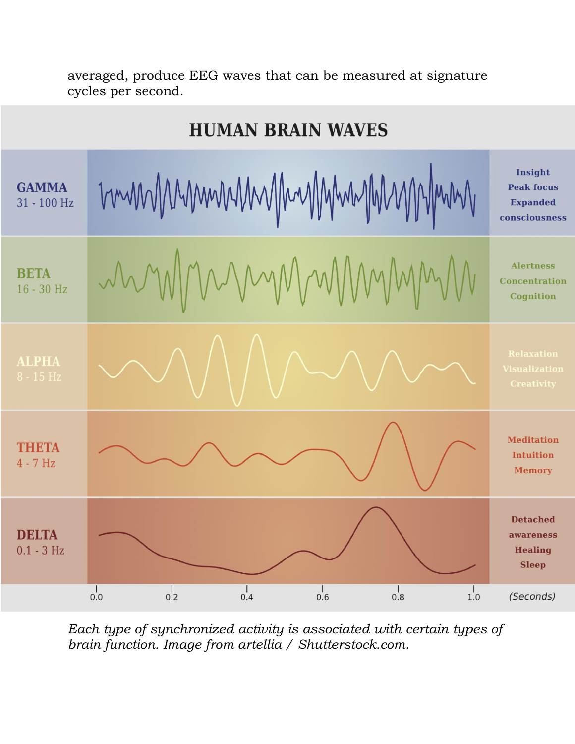#### **HUMAN BRAIN WAVES** Insight munimumumining **GAMMA Peak focus** 31 - 100 Hz **Expanded** consciousness MMMM **Alertness BETA Concentration** 16 - 30 Hz Cognition **ALPHA Meditation THETA Intuition**  $4 - 7$  Hz **Memory Detached DELTA** awareness  $0.1 - 3 Hz$ **Healing Sleep**  $\frac{1}{0.0}$  $\frac{1}{0.2}$  $\frac{1}{0.4}$  $\frac{1}{0.6}$  $\frac{1}{0.8}$  $\frac{1}{1.0}$ (Seconds)

averaged, produce EEG waves that can be measured at signature cycles per second.

*Each type of synchronized activity is associated with certain types of brain function. Image from artellia / Shutterstock.com*.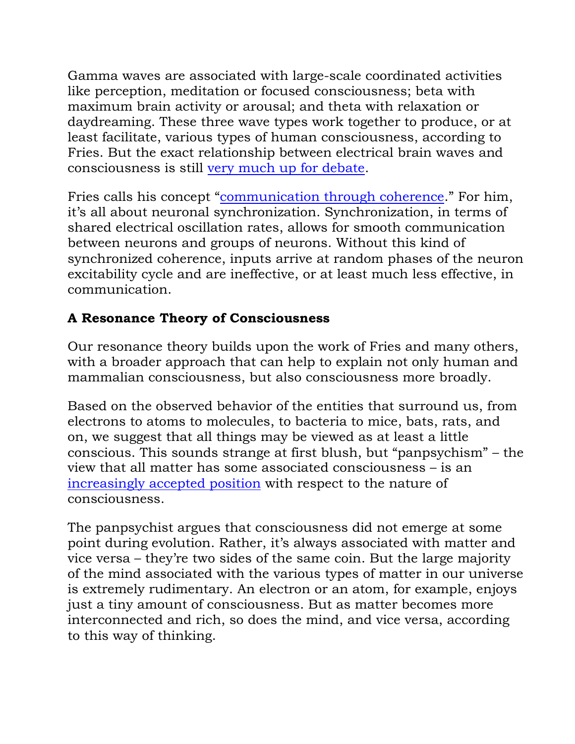Gamma waves are associated with large-scale coordinated activities like perception, meditation or focused consciousness; beta with maximum brain activity or arousal; and theta with relaxation or daydreaming. These three wave types work together to produce, or at least facilitate, various types of human consciousness, according to Fries. But the exact relationship between electrical brain waves and consciousness is still [very much up for debate.](https://doi.org/10.1016/j.tins.2017.02.004)

Fries calls his concept "[communication through coherence](https://doi.org/10.1016/j.neuron.2015.09.034)." For him, it's all about neuronal synchronization. Synchronization, in terms of shared electrical oscillation rates, allows for smooth communication between neurons and groups of neurons. Without this kind of synchronized coherence, inputs arrive at random phases of the neuron excitability cycle and are ineffective, or at least much less effective, in communication.

## **A Resonance Theory of Consciousness**

Our resonance theory builds upon the work of Fries and many others, with a broader approach that can help to explain not only human and mammalian consciousness, but also consciousness more broadly.

Based on the observed behavior of the entities that surround us, from electrons to atoms to molecules, to bacteria to mice, bats, rats, and on, we suggest that all things may be viewed as at least a little conscious. This sounds strange at first blush, but "panpsychism" – the view that all matter has some associated consciousness – is an [increasingly accepted position](https://www.scientificamerican.com/article/is-consciousness-universal/) with respect to the nature of consciousness.

The panpsychist argues that consciousness did not emerge at some point during evolution. Rather, it's always associated with matter and vice versa – they're two sides of the same coin. But the large majority of the mind associated with the various types of matter in our universe is extremely rudimentary. An electron or an atom, for example, enjoys just a tiny amount of consciousness. But as matter becomes more interconnected and rich, so does the mind, and vice versa, according to this way of thinking.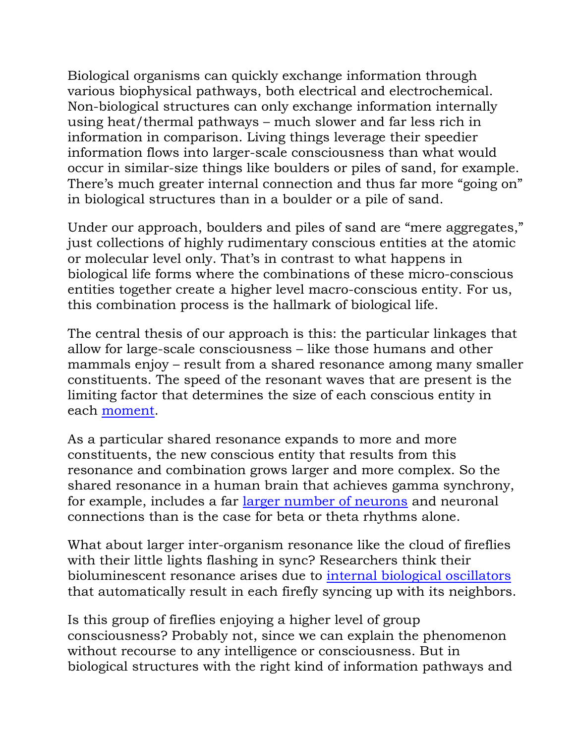Biological organisms can quickly exchange information through various biophysical pathways, both electrical and electrochemical. Non-biological structures can only exchange information internally using heat/thermal pathways – much slower and far less rich in information in comparison. Living things leverage their speedier information flows into larger-scale consciousness than what would occur in similar-size things like boulders or piles of sand, for example. There's much greater internal connection and thus far more "going on" in biological structures than in a boulder or a pile of sand.

Under our approach, boulders and piles of sand are "mere aggregates," just collections of highly rudimentary conscious entities at the atomic or molecular level only. That's in contrast to what happens in biological life forms where the combinations of these micro-conscious entities together create a higher level macro-conscious entity. For us, this combination process is the hallmark of biological life.

The central thesis of our approach is this: the particular linkages that allow for large-scale consciousness – like those humans and other mammals enjoy – result from a shared resonance among many smaller constituents. The speed of the resonant waves that are present is the limiting factor that determines the size of each conscious entity in each [moment.](https://www.ingentaconnect.com/content/imp/jcs/2016/00000023/F0020009/art00005)

As a particular shared resonance expands to more and more constituents, the new conscious entity that results from this resonance and combination grows larger and more complex. So the shared resonance in a human brain that achieves gamma synchrony, for example, includes a far [larger number of neurons](https://www.scientificamerican.com/article/zen-gamma/) and neuronal connections than is the case for beta or theta rhythms alone.

What about larger inter-organism resonance like the cloud of fireflies with their little lights flashing in sync? Researchers think their bioluminescent resonance arises due to [internal biological oscillators](https://doi.org/10.1137/0150098) that automatically result in each firefly syncing up with its neighbors.

Is this group of fireflies enjoying a higher level of group consciousness? Probably not, since we can explain the phenomenon without recourse to any intelligence or consciousness. But in biological structures with the right kind of information pathways and